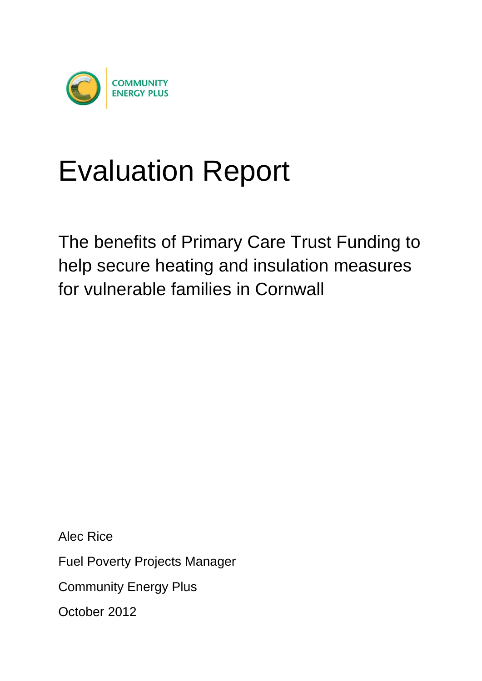

# Evaluation Report

The benefits of Primary Care Trust Funding to help secure heating and insulation measures for vulnerable families in Cornwall

Alec Rice

Fuel Poverty Projects Manager

Community Energy Plus

October 2012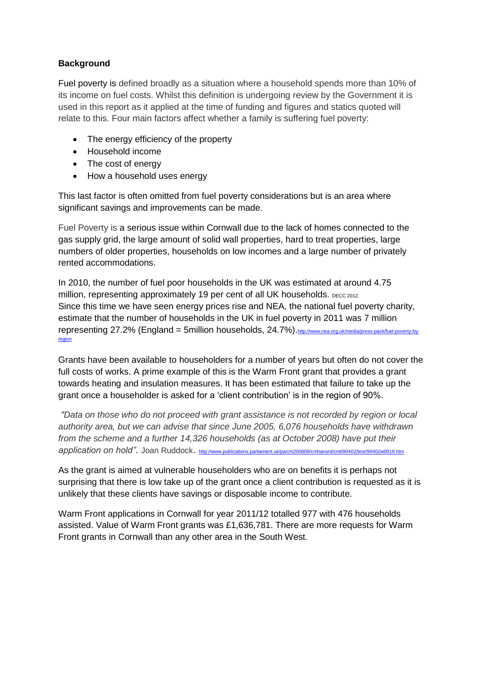## **Background**

Fuel poverty is defined broadly as a situation where a household spends more than 10% of its income on fuel costs. Whilst this definition is undergoing review by the Government it is used in this report as it applied at the time of funding and figures and statics quoted will relate to this. Four main factors affect whether a family is suffering fuel poverty:

- The energy efficiency of the property
- Household income
- The cost of energy
- How a household uses energy

This last factor is often omitted from fuel poverty considerations but is an area where significant savings and improvements can be made.

Fuel Poverty is a serious issue within Cornwall due to the lack of homes connected to the gas supply grid, the large amount of solid wall properties, hard to treat properties, large numbers of older properties, households on low incomes and a large number of privately rented accommodations.

In 2010, the number of fuel poor households in the UK was estimated at around 4.75 million, representing approximately 19 per cent of all UK households. DECC 2012. Since this time we have seen energy prices rise and NEA, the national fuel poverty charity, estimate that the number of households in the UK in fuel poverty in 2011 was 7 million representing 27.2% (England = 5million households, 24.7%). [http://www.nea.org.uk/media/press-pack/fuel-poverty-by](http://www.nea.org.uk/media/press-pack/fuel-poverty-by-region)[region](http://www.nea.org.uk/media/press-pack/fuel-poverty-by-region)

Grants have been available to householders for a number of years but often do not cover the full costs of works. A prime example of this is the Warm Front grant that provides a grant towards heating and insulation measures. It has been estimated that failure to take up the grant once a householder is asked for a 'client contribution' is in the region of 90%.

*"Data on those who do not proceed with grant assistance is not recorded by region or local authority area, but we can advise that since June 2005, 6,076 households have withdrawn from the scheme and a further 14,326 households (as at October 2008) have put their application on hold"*. Joan Ruddock. <http://www.publications.parliament.uk/pa/cm200809/cmhansrd/cm090402/text/90402w0018.htm>

As the grant is aimed at vulnerable householders who are on benefits it is perhaps not surprising that there is low take up of the grant once a client contribution is requested as it is unlikely that these clients have savings or disposable income to contribute.

Warm Front applications in Cornwall for year 2011/12 totalled 977 with 476 households assisted. Value of Warm Front grants was £1,636,781. There are more requests for Warm Front grants in Cornwall than any other area in the South West.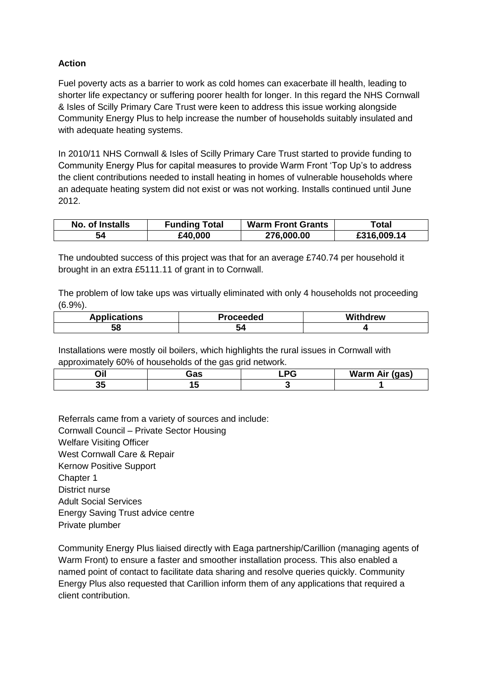### **Action**

Fuel poverty acts as a barrier to work as cold homes can exacerbate ill health, leading to shorter life expectancy or suffering poorer health for longer. In this regard the NHS Cornwall & Isles of Scilly Primary Care Trust were keen to address this issue working alongside Community Energy Plus to help increase the number of households suitably insulated and with adequate heating systems.

In 2010/11 NHS Cornwall & Isles of Scilly Primary Care Trust started to provide funding to Community Energy Plus for capital measures to provide Warm Front 'Top Up's to address the client contributions needed to install heating in homes of vulnerable households where an adequate heating system did not exist or was not working. Installs continued until June 2012.

| No. of Installs | <b>Funding Total</b> | <b>Warm Front Grants</b> | Гоtal       |
|-----------------|----------------------|--------------------------|-------------|
| 54              | £40,000              | 276,000.00               | £316,009.14 |

The undoubted success of this project was that for an average £740.74 per household it brought in an extra £5111.11 of grant in to Cornwall.

The problem of low take ups was virtually eliminated with only 4 households not proceeding (6.9%).

| <b>Applications</b> | Proceeded | <b>Withdrew</b> |
|---------------------|-----------|-----------------|
| 58                  | 34        |                 |

Installations were mostly oil boilers, which highlights the rural issues in Cornwall with approximately 60% of households of the gas grid network.

| .                | in c<br>aa | .<br>-----<br><br>-- |
|------------------|------------|----------------------|
| - -<br><u>Ju</u> |            |                      |

Referrals came from a variety of sources and include: Cornwall Council – Private Sector Housing Welfare Visiting Officer West Cornwall Care & Repair Kernow Positive Support Chapter 1 District nurse Adult Social Services Energy Saving Trust advice centre Private plumber

Community Energy Plus liaised directly with Eaga partnership/Carillion (managing agents of Warm Front) to ensure a faster and smoother installation process. This also enabled a named point of contact to facilitate data sharing and resolve queries quickly. Community Energy Plus also requested that Carillion inform them of any applications that required a client contribution.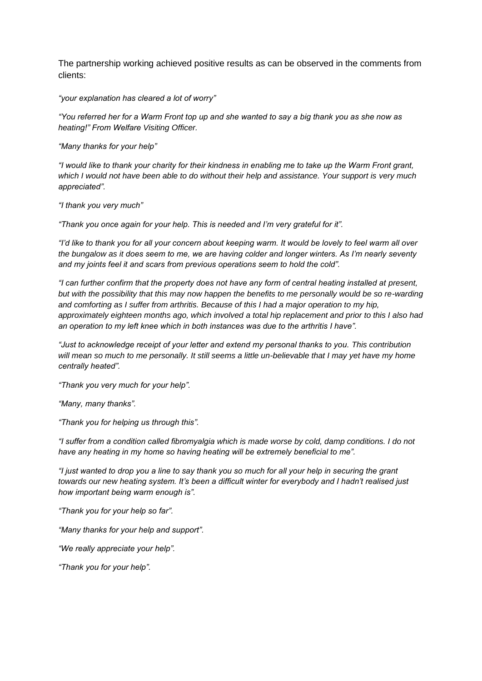The partnership working achieved positive results as can be observed in the comments from clients:

*"your explanation has cleared a lot of worry"*

*"You referred her for a Warm Front top up and she wanted to say a big thank you as she now as heating!" From Welfare Visiting Officer.*

*"Many thanks for your help"*

*"I would like to thank your charity for their kindness in enabling me to take up the Warm Front grant, which I would not have been able to do without their help and assistance. Your support is very much appreciated".*

*"I thank you very much"*

*"Thank you once again for your help. This is needed and I'm very grateful for it".*

*"I'd like to thank you for all your concern about keeping warm. It would be lovely to feel warm all over the bungalow as it does seem to me, we are having colder and longer winters. As I'm nearly seventy and my joints feel it and scars from previous operations seem to hold the cold".*

*"I can further confirm that the property does not have any form of central heating installed at present, but with the possibility that this may now happen the benefits to me personally would be so re-warding and comforting as I suffer from arthritis. Because of this I had a major operation to my hip, approximately eighteen months ago, which involved a total hip replacement and prior to this I also had an operation to my left knee which in both instances was due to the arthritis I have".*

*"Just to acknowledge receipt of your letter and extend my personal thanks to you. This contribution will mean so much to me personally. It still seems a little un-believable that I may yet have my home centrally heated".*

*"Thank you very much for your help".*

*"Many, many thanks".*

*"Thank you for helping us through this".*

*"I suffer from a condition called fibromyalgia which is made worse by cold, damp conditions. I do not have any heating in my home so having heating will be extremely beneficial to me".*

*"I just wanted to drop you a line to say thank you so much for all your help in securing the grant towards our new heating system. It's been a difficult winter for everybody and I hadn't realised just how important being warm enough is".*

*"Thank you for your help so far".*

*"Many thanks for your help and support".*

*"We really appreciate your help".*

*"Thank you for your help".*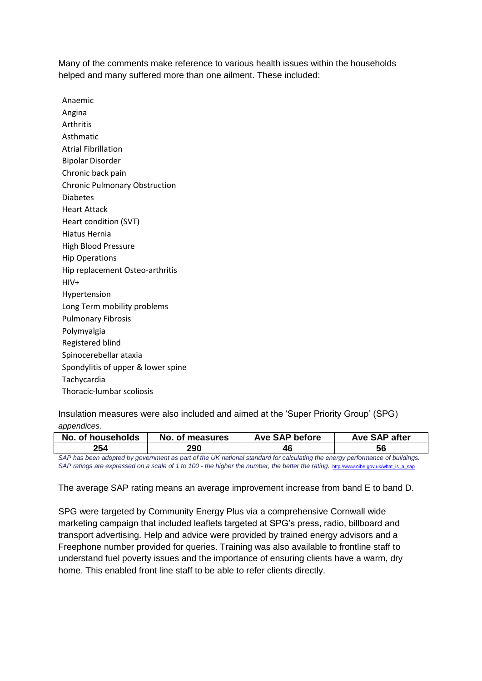Many of the comments make reference to various health issues within the households helped and many suffered more than one ailment. These included:

Anaemic Angina Arthritis Asthmatic Atrial Fibrillation Bipolar Disorder Chronic back pain Chronic Pulmonary Obstruction Diabetes Heart Attack Heart condition (SVT) Hiatus Hernia High Blood Pressure Hip Operations Hip replacement Osteo-arthritis HIV+ Hypertension Long Term mobility problems Pulmonary Fibrosis Polymyalgia Registered blind Spinocerebellar ataxia Spondylitis of upper & lower spine **Tachycardia** Thoracic-lumbar scoliosis

Insulation measures were also included and aimed at the 'Super Priority Group' (SPG) *appendices*.

| No. of households                                                                                                           | No. of measures | <b>Ave SAP before</b> | Ave SAP after |  |
|-----------------------------------------------------------------------------------------------------------------------------|-----------------|-----------------------|---------------|--|
| 254                                                                                                                         | <b>290</b>      | 46                    | 56            |  |
| SAP has been adopted by government as part of the UK national standard for calculating the energy performance of buildings. |                 |                       |               |  |

SAP ratings are expressed on a scale of 1 to 100 - the higher the number, the better the rating. [http://www.nihe.gov.uk/what\\_is\\_a\\_sap](http://www.nihe.gov.uk/what_is_a_sap)

#### The average SAP rating means an average improvement increase from band E to band D.

SPG were targeted by Community Energy Plus via a comprehensive Cornwall wide marketing campaign that included leaflets targeted at SPG's press, radio, billboard and transport advertising. Help and advice were provided by trained energy advisors and a Freephone number provided for queries. Training was also available to frontline staff to understand fuel poverty issues and the importance of ensuring clients have a warm, dry home. This enabled front line staff to be able to refer clients directly.